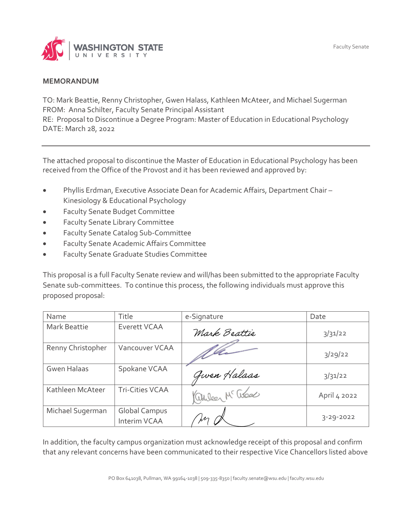

## **MEMORANDUM**

TO: Mark Beattie, Renny Christopher, Gwen Halass, Kathleen McAteer, and Michael Sugerman FROM: Anna Schilter, Faculty Senate Principal Assistant RE: Proposal to Discontinue a Degree Program: Master of Education in Educational Psychology DATE: March 28, 2022

The attached proposal to discontinue the Master of Education in Educational Psychology has been received from the Office of the Provost and it has been reviewed and approved by:

- Phyllis Erdman, Executive Associate Dean for Academic Affairs, Department Chair Kinesiology & Educational Psychology
- Faculty Senate Budget Committee
- **•** Faculty Senate Library Committee
- **•** Faculty Senate Catalog Sub-Committee
- Faculty Senate Academic Affairs Committee
- Faculty Senate Graduate Studies Committee

This proposal is a full Faculty Senate review and will/has been submitted to the appropriate Faculty Senate sub-committees. To continue this process, the following individuals must approve this proposed proposal:

| Name                | Title                                | e-Signature       | Date            |
|---------------------|--------------------------------------|-------------------|-----------------|
| <b>Mark Beattie</b> | Everett VCAA                         | Mark Beattie      | 3/31/22         |
| Renny Christopher   | Vancouver VCAA                       |                   | 3/29/22         |
| <b>Gwen Halaas</b>  | Spokane VCAA                         | Given Halaas      | 3/31/22         |
| Kathleen McAteer    | <b>Tri-Cities VCAA</b>               | Children Mc ascal | April 4 2022    |
| Michael Sugerman    | <b>Global Campus</b><br>Interim VCAA | M                 | $3 - 29 - 2022$ |

In addition, the faculty campus organization must acknowledge receipt of this proposal and confirm that any relevant concerns have been communicated to their respective Vice Chancellors listed above